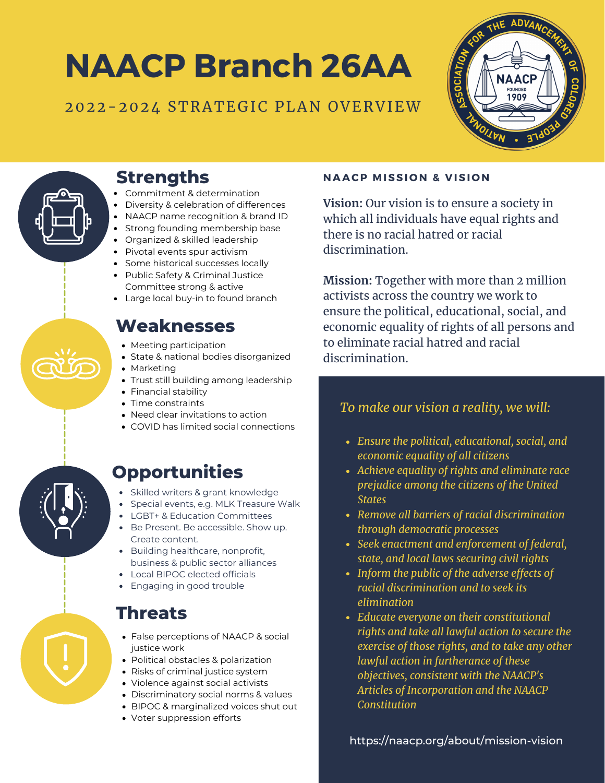# **NAACP Branch 26AA**

#### 2022-2024 STRATEGIC PLAN OVERVIEW





## **Strengths**

- Commitment & determination
- Diversity & celebration of differences
- NAACP name recognition & brand ID
- Strong founding membership base
- Organized & skilled leadership
- Pivotal events spur activism
- Some historical successes locally
- Public Safety & Criminal Justice Committee strong & active
- Large local buy-in to found branch

## **Weaknesses**

- Meeting participation
- State & national bodies disorganized
- Marketing
- Trust still building among leadership
- Financial stability
- Time constraints
- Need clear invitations to action
- COVID has limited social connections

### **Opportunities**

- Skilled writers & grant knowledge
- Special events, e.g. MLK Treasure Walk
- LGBT+ & Education Committees
- Be Present. Be accessible. Show up. Create content.
- Building healthcare, nonprofit, business & public sector alliances
- Local BIPOC elected officials
- Engaging in good trouble

### **Threats**

- False perceptions of NAACP & social justice work
- Political obstacles & polarization
- Risks of criminal justice system
- Violence against social activists
- Discriminatory social norms & values
- BIPOC & marginalized voices shut out
- Voter suppression efforts

#### **NAACP MISSI O N & V ISI O N**

**Vision:** Our vision is to ensure a society in which all individuals have equal rights and there is no racial hatred or racial discrimination.

**Mission:** Together with more than 2 million activists across the country we work to ensure the political, educational, social, and economic equality of rights of all persons and to eliminate racial hatred and racial discrimination.

#### *To make our vision a reality, we will:*

- *Ensure the political, educational, social, and economic equality of all citizens*
- *Achieve equality of rights and eliminate race prejudice among the citizens of the United States*
- *Remove all barriers of racial discrimination through democratic processes*
- *Seek enactment and enforcement of federal, state, and local laws securing civil rights*
- *Inform the public of the adverse effects of racial discrimination and to seek its elimination*
- *Educate everyone on their constitutional rights and take all lawful action to secure the exercise of those rights, and to take any other lawful action in furtherance of these objectives, consistent with the NAACP's Articles of [Incorporation](https://naacp.org/resources/naacp-constitution) and the NAACP Constitution*